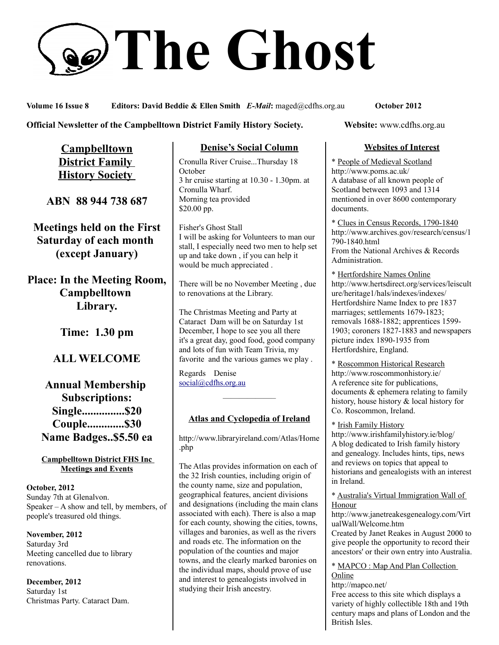# **The Ghost**

**Volume 16 Issue 8 Editors: David Beddie & Ellen Smith** *E-Mail***:** maged@cdfhs.org.au **October 2012**

#### **Official Newsletter of the Campbelltown District Family History Society. Website: www.cdfhs.org.au**

**Campbelltown District Family History Society** 

**ABN 88 944 738 687**

**Meetings held on the First Saturday of each month (except January)**

**Place: In the Meeting Room, Campbelltown Library.**

**Time: 1.30 pm**

**ALL WELCOME**

# **Annual Membership Subscriptions: Single...............\$20 Couple.............\$30 Name Badges..\$5.50 ea**

#### **Campbelltown District FHS Inc Meetings and Events**

**October, 2012** Sunday 7th at Glenalvon. Speaker – A show and tell, by members, of people's treasured old things.

**November, 2012** Saturday 3rd Meeting cancelled due to library renovations.

**December, 2012** Saturday 1st Christmas Party. Cataract Dam.

#### **Denise's Social Column**

Cronulla River Cruise...Thursday 18 **October** 3 hr cruise starting at 10.30 - 1.30pm. at Cronulla Wharf. Morning tea provided \$20.00 pp.

Fisher's Ghost Stall I will be asking for Volunteers to man our stall, I especially need two men to help set up and take down , if you can help it would be much appreciated .

There will be no November Meeting , due to renovations at the Library.

The Christmas Meeting and Party at Cataract Dam will be on Saturday 1st December, I hope to see you all there it's a great day, good food, good company and lots of fun with Team Trivia, my favorite and the various games we play .

Regards Denise [social@cdfhs.org.au](mailto:social@cdfhs.org.au)

# **Atlas and Cyclopedia of Ireland**

——————–

http://www.libraryireland.com/Atlas/Home .php

The Atlas provides information on each of the 32 Irish counties, including origin of the county name, size and population, geographical features, ancient divisions and designations (including the main clans associated with each). There is also a map for each county, showing the cities, towns, villages and baronies, as well as the rivers and roads etc. The information on the population of the counties and major towns, and the clearly marked baronies on the individual maps, should prove of use and interest to genealogists involved in studying their Irish ancestry.

#### **Websites of Interest**

\* People of Medieval Scotland http://www.poms.ac.uk/ A database of all known people of Scotland between 1093 and 1314 mentioned in over 8600 contemporary documents.

\* Clues in Census Records, 1790-1840 http://www.archives.gov/research/census/1 790-1840.html From the National Archives & Records Administration.

\* Hertfordshire Names Online http://www.hertsdirect.org/services/leiscult ure/heritage1/hals/indexes/indexes/ Hertfordshire Name Index to pre 1837 marriages; settlements 1679-1823; removals 1688-1882; apprentices 1599- 1903; coroners 1827-1883 and newspapers picture index 1890-1935 from Hertfordshire, England.

\* Roscommon Historical Research http://www.roscommonhistory.ie/ A reference site for publications, documents & ephemera relating to family history, house history & local history for Co. Roscommon, Ireland.

\* Irish Family History

http://www.irishfamilyhistory.ie/blog/ A blog dedicated to Irish family history and genealogy. Includes hints, tips, news and reviews on topics that appeal to historians and genealogists with an interest in Ireland.

\* Australia's Virtual Immigration Wall of Honour

http://www.janetreakesgenealogy.com/Virt ualWall/Welcome.htm

Created by Janet Reakes in August 2000 to give people the opportunity to record their ancestors' or their own entry into Australia.

# \* MAPCO : Map And Plan Collection

**Online** http://mapco.net/

Free access to this site which displays a variety of highly collectible 18th and 19th century maps and plans of London and the British Isles.